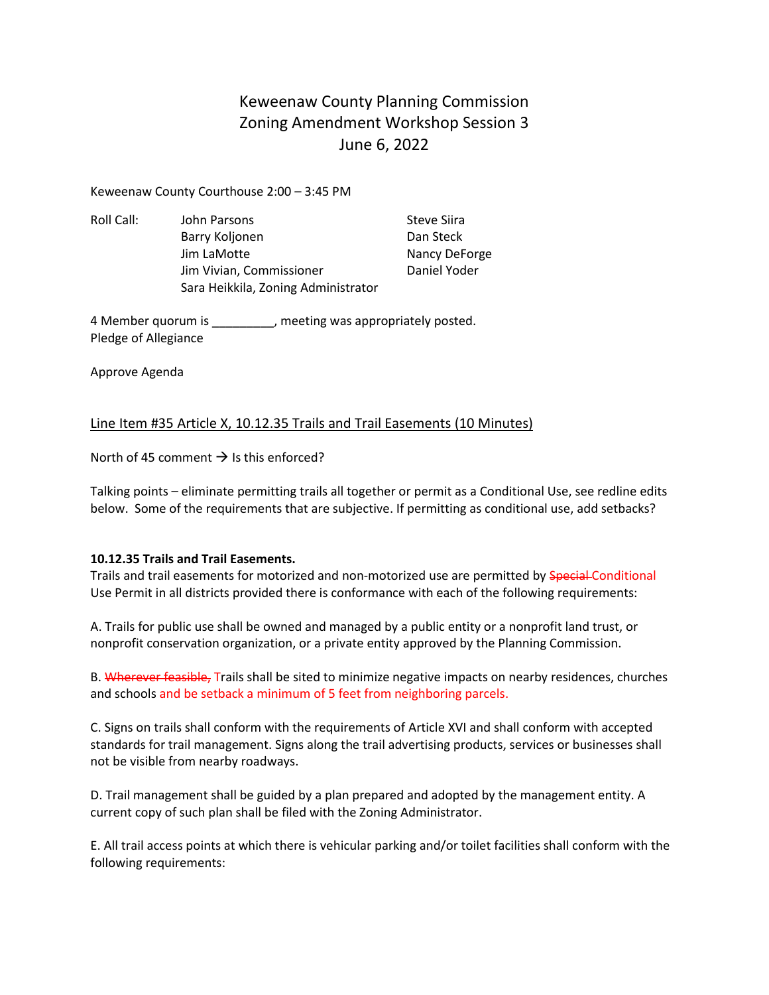Keweenaw County Planning Commission Zoning Amendment Workshop Session 3 June 6, 2022

Keweenaw County Courthouse 2:00 – 3:45 PM

Roll Call: John Parsons Steve Siira Barry Koljonen Dan Steck Jim LaMotte Nancy DeForge Jim Vivian, Commissioner **Daniel Yoder** Sara Heikkila, Zoning Administrator

4 Member quorum is \_\_\_\_\_\_\_\_\_, meeting was appropriately posted. Pledge of Allegiance

Approve Agenda

### Line Item #35 Article X, 10.12.35 Trails and Trail Easements (10 Minutes)

North of 45 comment  $\rightarrow$  Is this enforced?

Talking points – eliminate permitting trails all together or permit as a Conditional Use, see redline edits below. Some of the requirements that are subjective. If permitting as conditional use, add setbacks?

### **10.12.35 Trails and Trail Easements.**

Trails and trail easements for motorized and non-motorized use are permitted by Special-Conditional Use Permit in all districts provided there is conformance with each of the following requirements:

A. Trails for public use shall be owned and managed by a public entity or a nonprofit land trust, or nonprofit conservation organization, or a private entity approved by the Planning Commission.

B. Wherever feasible, Trails shall be sited to minimize negative impacts on nearby residences, churches and schools and be setback a minimum of 5 feet from neighboring parcels.

C. Signs on trails shall conform with the requirements of Article XVI and shall conform with accepted standards for trail management. Signs along the trail advertising products, services or businesses shall not be visible from nearby roadways.

D. Trail management shall be guided by a plan prepared and adopted by the management entity. A current copy of such plan shall be filed with the Zoning Administrator.

E. All trail access points at which there is vehicular parking and/or toilet facilities shall conform with the following requirements: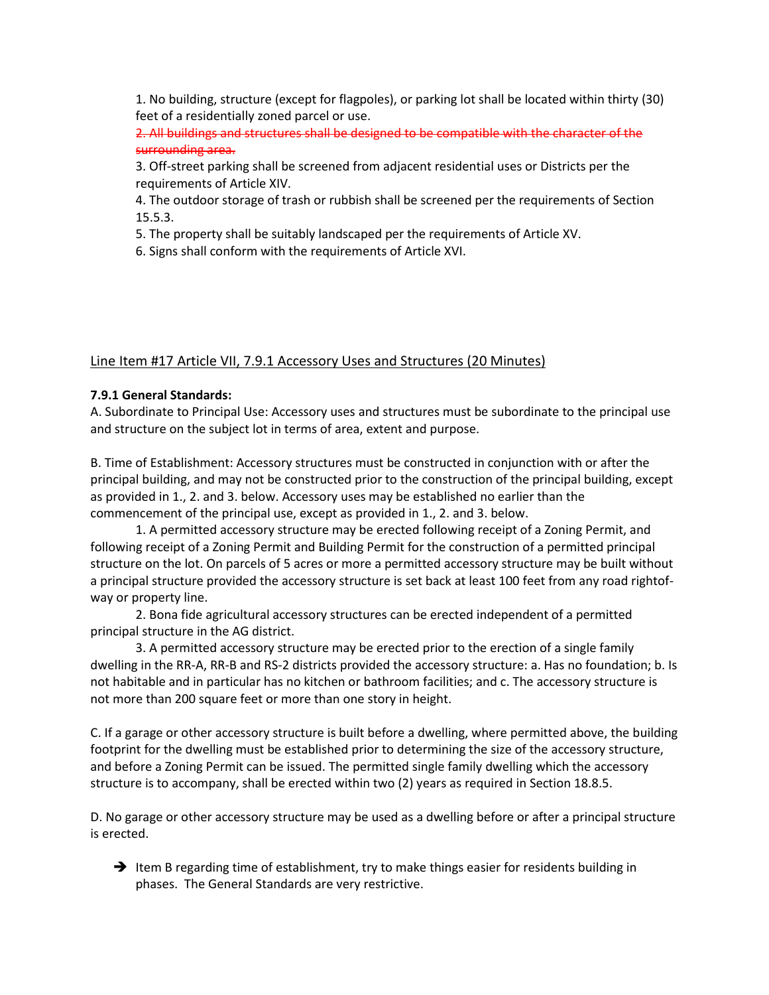1. No building, structure (except for flagpoles), or parking lot shall be located within thirty (30) feet of a residentially zoned parcel or use.

2. All buildings and structures shall be designed to be compatible with the character of the surrounding area.

3. Off-street parking shall be screened from adjacent residential uses or Districts per the requirements of Article XIV.

4. The outdoor storage of trash or rubbish shall be screened per the requirements of Section 15.5.3.

5. The property shall be suitably landscaped per the requirements of Article XV.

6. Signs shall conform with the requirements of Article XVI.

#### Line Item #17 Article VII, 7.9.1 Accessory Uses and Structures (20 Minutes)

#### **7.9.1 General Standards:**

A. Subordinate to Principal Use: Accessory uses and structures must be subordinate to the principal use and structure on the subject lot in terms of area, extent and purpose.

B. Time of Establishment: Accessory structures must be constructed in conjunction with or after the principal building, and may not be constructed prior to the construction of the principal building, except as provided in 1., 2. and 3. below. Accessory uses may be established no earlier than the commencement of the principal use, except as provided in 1., 2. and 3. below.

1. A permitted accessory structure may be erected following receipt of a Zoning Permit, and following receipt of a Zoning Permit and Building Permit for the construction of a permitted principal structure on the lot. On parcels of 5 acres or more a permitted accessory structure may be built without a principal structure provided the accessory structure is set back at least 100 feet from any road rightofway or property line.

2. Bona fide agricultural accessory structures can be erected independent of a permitted principal structure in the AG district.

3. A permitted accessory structure may be erected prior to the erection of a single family dwelling in the RR-A, RR-B and RS-2 districts provided the accessory structure: a. Has no foundation; b. Is not habitable and in particular has no kitchen or bathroom facilities; and c. The accessory structure is not more than 200 square feet or more than one story in height.

C. If a garage or other accessory structure is built before a dwelling, where permitted above, the building footprint for the dwelling must be established prior to determining the size of the accessory structure, and before a Zoning Permit can be issued. The permitted single family dwelling which the accessory structure is to accompany, shall be erected within two (2) years as required in Section 18.8.5.

D. No garage or other accessory structure may be used as a dwelling before or after a principal structure is erected.

 $\rightarrow$  Item B regarding time of establishment, try to make things easier for residents building in phases. The General Standards are very restrictive.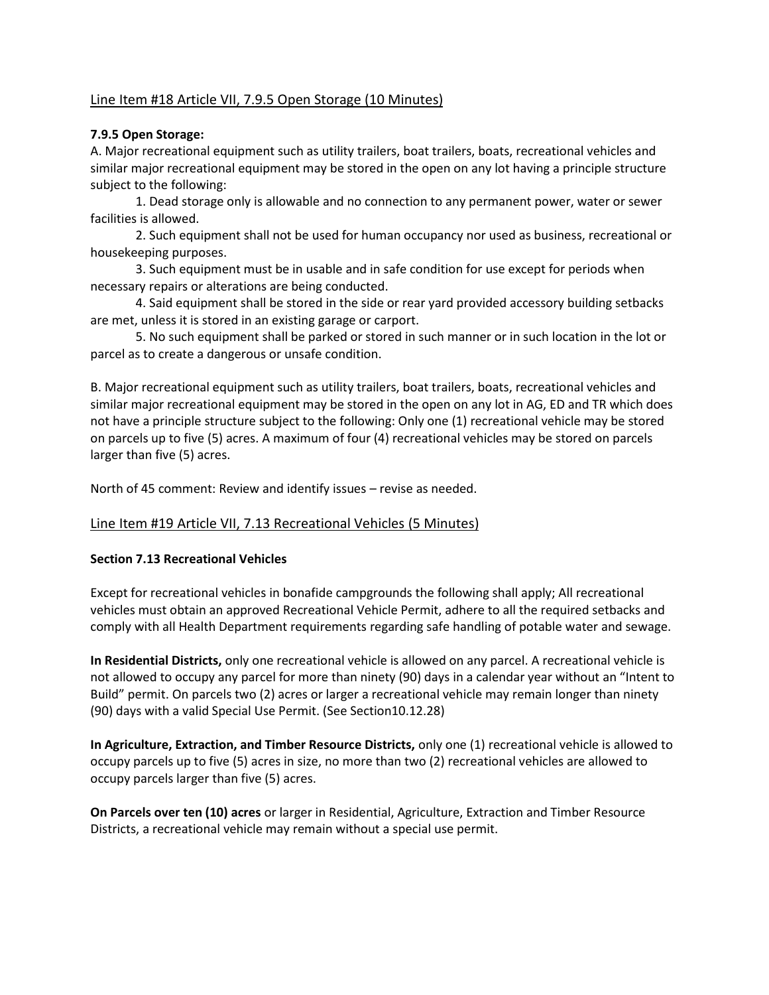# Line Item #18 Article VII, 7.9.5 Open Storage (10 Minutes)

### **7.9.5 Open Storage:**

A. Major recreational equipment such as utility trailers, boat trailers, boats, recreational vehicles and similar major recreational equipment may be stored in the open on any lot having a principle structure subject to the following:

1. Dead storage only is allowable and no connection to any permanent power, water or sewer facilities is allowed.

2. Such equipment shall not be used for human occupancy nor used as business, recreational or housekeeping purposes.

3. Such equipment must be in usable and in safe condition for use except for periods when necessary repairs or alterations are being conducted.

4. Said equipment shall be stored in the side or rear yard provided accessory building setbacks are met, unless it is stored in an existing garage or carport.

5. No such equipment shall be parked or stored in such manner or in such location in the lot or parcel as to create a dangerous or unsafe condition.

B. Major recreational equipment such as utility trailers, boat trailers, boats, recreational vehicles and similar major recreational equipment may be stored in the open on any lot in AG, ED and TR which does not have a principle structure subject to the following: Only one (1) recreational vehicle may be stored on parcels up to five (5) acres. A maximum of four (4) recreational vehicles may be stored on parcels larger than five (5) acres.

North of 45 comment: Review and identify issues – revise as needed.

### Line Item #19 Article VII, 7.13 Recreational Vehicles (5 Minutes)

### **Section 7.13 Recreational Vehicles**

Except for recreational vehicles in bonafide campgrounds the following shall apply; All recreational vehicles must obtain an approved Recreational Vehicle Permit, adhere to all the required setbacks and comply with all Health Department requirements regarding safe handling of potable water and sewage.

**In Residential Districts,** only one recreational vehicle is allowed on any parcel. A recreational vehicle is not allowed to occupy any parcel for more than ninety (90) days in a calendar year without an "Intent to Build" permit. On parcels two (2) acres or larger a recreational vehicle may remain longer than ninety (90) days with a valid Special Use Permit. (See Section10.12.28)

**In Agriculture, Extraction, and Timber Resource Districts,** only one (1) recreational vehicle is allowed to occupy parcels up to five (5) acres in size, no more than two (2) recreational vehicles are allowed to occupy parcels larger than five (5) acres.

**On Parcels over ten (10) acres** or larger in Residential, Agriculture, Extraction and Timber Resource Districts, a recreational vehicle may remain without a special use permit.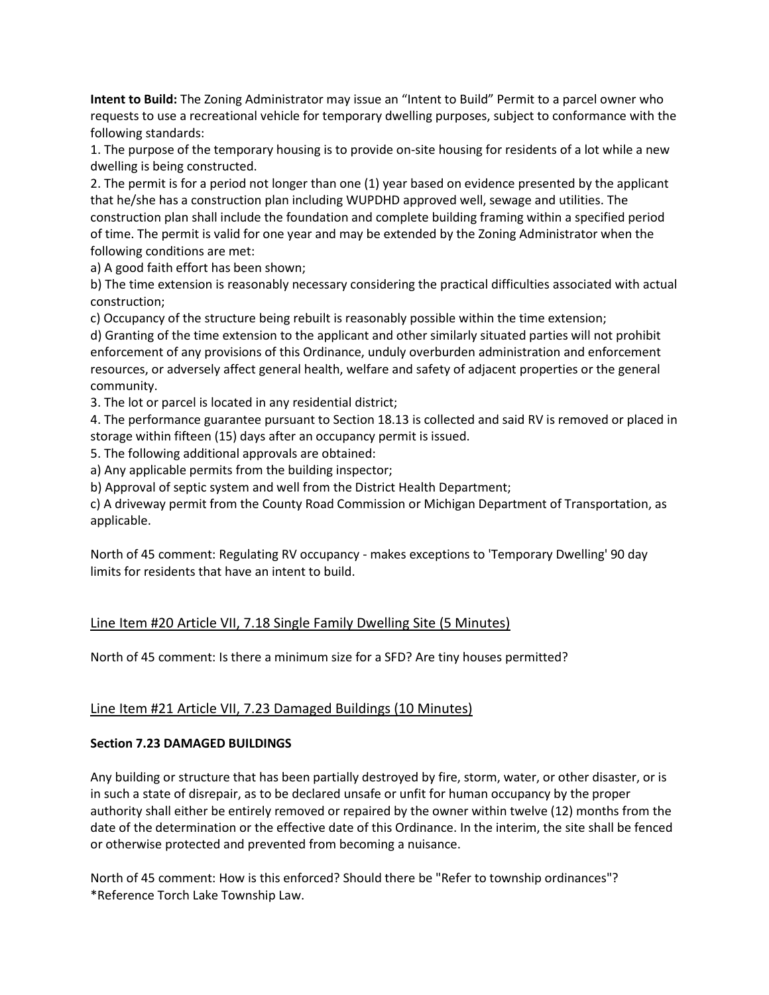**Intent to Build:** The Zoning Administrator may issue an "Intent to Build" Permit to a parcel owner who requests to use a recreational vehicle for temporary dwelling purposes, subject to conformance with the following standards:

1. The purpose of the temporary housing is to provide on-site housing for residents of a lot while a new dwelling is being constructed.

2. The permit is for a period not longer than one (1) year based on evidence presented by the applicant that he/she has a construction plan including WUPDHD approved well, sewage and utilities. The construction plan shall include the foundation and complete building framing within a specified period of time. The permit is valid for one year and may be extended by the Zoning Administrator when the following conditions are met:

a) A good faith effort has been shown;

b) The time extension is reasonably necessary considering the practical difficulties associated with actual construction;

c) Occupancy of the structure being rebuilt is reasonably possible within the time extension;

d) Granting of the time extension to the applicant and other similarly situated parties will not prohibit enforcement of any provisions of this Ordinance, unduly overburden administration and enforcement resources, or adversely affect general health, welfare and safety of adjacent properties or the general community.

3. The lot or parcel is located in any residential district;

4. The performance guarantee pursuant to Section 18.13 is collected and said RV is removed or placed in storage within fifteen (15) days after an occupancy permit is issued.

5. The following additional approvals are obtained:

a) Any applicable permits from the building inspector;

b) Approval of septic system and well from the District Health Department;

c) A driveway permit from the County Road Commission or Michigan Department of Transportation, as applicable.

North of 45 comment: Regulating RV occupancy - makes exceptions to 'Temporary Dwelling' 90 day limits for residents that have an intent to build.

# Line Item #20 Article VII, 7.18 Single Family Dwelling Site (5 Minutes)

North of 45 comment: Is there a minimum size for a SFD? Are tiny houses permitted?

# Line Item #21 Article VII, 7.23 Damaged Buildings (10 Minutes)

### **Section 7.23 DAMAGED BUILDINGS**

Any building or structure that has been partially destroyed by fire, storm, water, or other disaster, or is in such a state of disrepair, as to be declared unsafe or unfit for human occupancy by the proper authority shall either be entirely removed or repaired by the owner within twelve (12) months from the date of the determination or the effective date of this Ordinance. In the interim, the site shall be fenced or otherwise protected and prevented from becoming a nuisance.

North of 45 comment: How is this enforced? Should there be "Refer to township ordinances"? \*Reference Torch Lake Township Law.